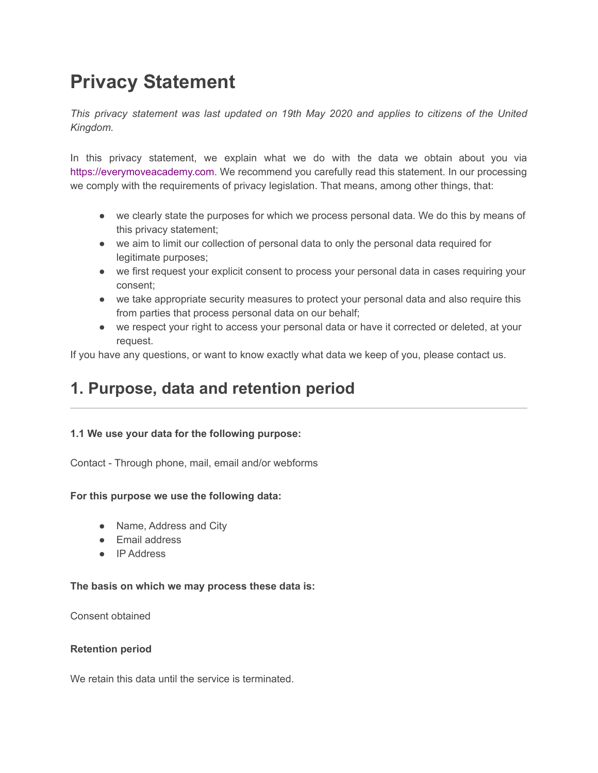# **Privacy Statement**

*This privacy statement was last updated on 19th May 2020 and applies to citizens of the United Kingdom.*

In this privacy statement, we explain what we do with the data we obtain about you via [https://everymoveacademy.com](https://everymoveacademy.com/). We recommend you carefully read this statement. In our processing we comply with the requirements of privacy legislation. That means, among other things, that:

- we clearly state the purposes for which we process personal data. We do this by means of this privacy statement;
- we aim to limit our collection of personal data to only the personal data required for legitimate purposes;
- we first request your explicit consent to process your personal data in cases requiring your consent;
- we take appropriate security measures to protect your personal data and also require this from parties that process personal data on our behalf;
- we respect your right to access your personal data or have it corrected or deleted, at your request.

If you have any questions, or want to know exactly what data we keep of you, please contact us.

# **1. Purpose, data and retention period**

#### **1.1 We use your data for the following purpose:**

Contact - Through phone, mail, email and/or webforms

#### **For this purpose we use the following data:**

- Name, Address and City
- Email address
- IP Address

#### **The basis on which we may process these data is:**

Consent obtained

#### **Retention period**

We retain this data until the service is terminated.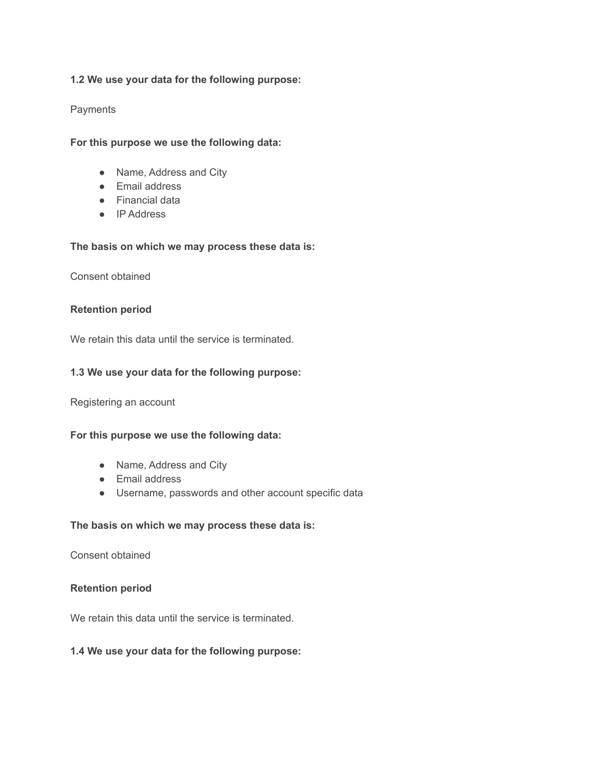#### **1.2 We use your data for the following purpose:**

#### **Payments**

**For this purpose we use the following data:**

- Name, Address and City
- Email address
- Financial data
- IP Address

#### **The basis on which we may process these data is:**

Consent obtained

#### **Retention period**

We retain this data until the service is terminated.

#### **1.3 We use your data for the following purpose:**

Registering an account

#### **For this purpose we use the following data:**

- Name, Address and City
- Email address
- Username, passwords and other account specific data

#### **The basis on which we may process these data is:**

Consent obtained

#### **Retention period**

We retain this data until the service is terminated.

#### **1.4 We use your data for the following purpose:**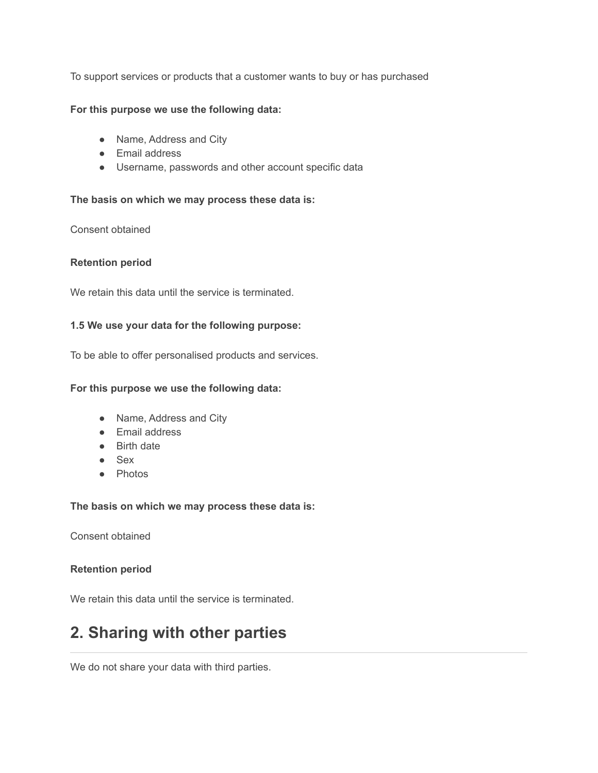To support services or products that a customer wants to buy or has purchased

#### **For this purpose we use the following data:**

- Name, Address and City
- Email address
- Username, passwords and other account specific data

#### **The basis on which we may process these data is:**

Consent obtained

#### **Retention period**

We retain this data until the service is terminated.

#### **1.5 We use your data for the following purpose:**

To be able to offer personalised products and services.

#### **For this purpose we use the following data:**

- Name, Address and City
- Email address
- Birth date
- Sex
- Photos

#### **The basis on which we may process these data is:**

Consent obtained

#### **Retention period**

We retain this data until the service is terminated.

# **2. Sharing with other parties**

We do not share your data with third parties.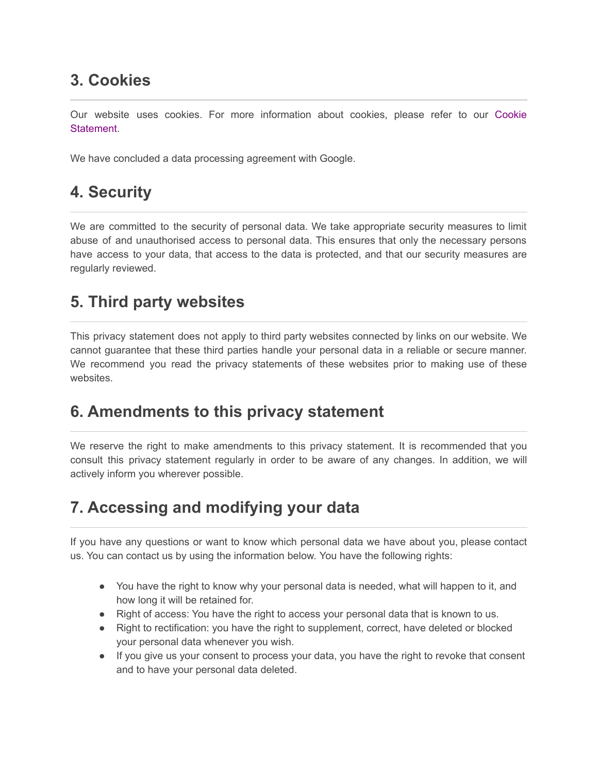# **3. Cookies**

Our website uses cookies. For more information about cookies, please refer to our [Cookie](https://everymoveacademy.com/cookie-policy/) **Statement** 

We have concluded a data processing agreement with Google.

### **4. Security**

We are committed to the security of personal data. We take appropriate security measures to limit abuse of and unauthorised access to personal data. This ensures that only the necessary persons have access to your data, that access to the data is protected, and that our security measures are regularly reviewed.

### **5. Third party websites**

This privacy statement does not apply to third party websites connected by links on our website. We cannot guarantee that these third parties handle your personal data in a reliable or secure manner. We recommend you read the privacy statements of these websites prior to making use of these websites.

### **6. Amendments to this privacy statement**

We reserve the right to make amendments to this privacy statement. It is recommended that you consult this privacy statement regularly in order to be aware of any changes. In addition, we will actively inform you wherever possible.

# **7. Accessing and modifying your data**

If you have any questions or want to know which personal data we have about you, please contact us. You can contact us by using the information below. You have the following rights:

- You have the right to know why your personal data is needed, what will happen to it, and how long it will be retained for.
- Right of access: You have the right to access your personal data that is known to us.
- Right to rectification: you have the right to supplement, correct, have deleted or blocked your personal data whenever you wish.
- If you give us your consent to process your data, you have the right to revoke that consent and to have your personal data deleted.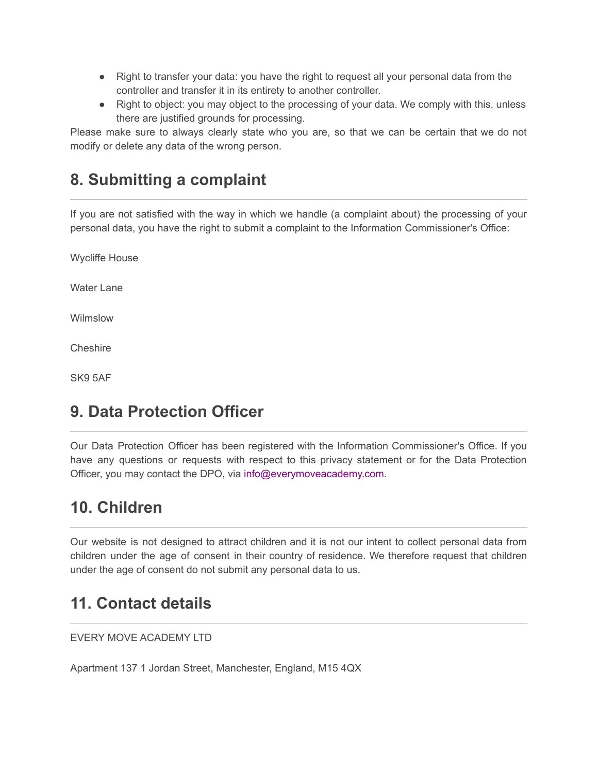- Right to transfer your data: you have the right to request all your personal data from the controller and transfer it in its entirety to another controller.
- Right to object: you may object to the processing of your data. We comply with this, unless there are justified grounds for processing.

Please make sure to always clearly state who you are, so that we can be certain that we do not modify or delete any data of the wrong person.

# **8. Submitting a complaint**

If you are not satisfied with the way in which we handle (a complaint about) the processing of your personal data, you have the right to submit a complaint to the Information Commissioner's Office:

Wycliffe House

Water Lane

Wilmslow

Cheshire

SK9 5AF

# **9. Data Protection Officer**

Our Data Protection Officer has been registered with the Information Commissioner's Office. If you have any questions or requests with respect to this privacy statement or for the Data Protection Officer, you may contact the DPO, via info@everymoveacademy.com.

# **10. Children**

Our website is not designed to attract children and it is not our intent to collect personal data from children under the age of consent in their country of residence. We therefore request that children under the age of consent do not submit any personal data to us.

### **11. Contact details**

EVERY MOVE ACADEMY LTD

Apartment 137 1 Jordan Street, Manchester, England, M15 4QX